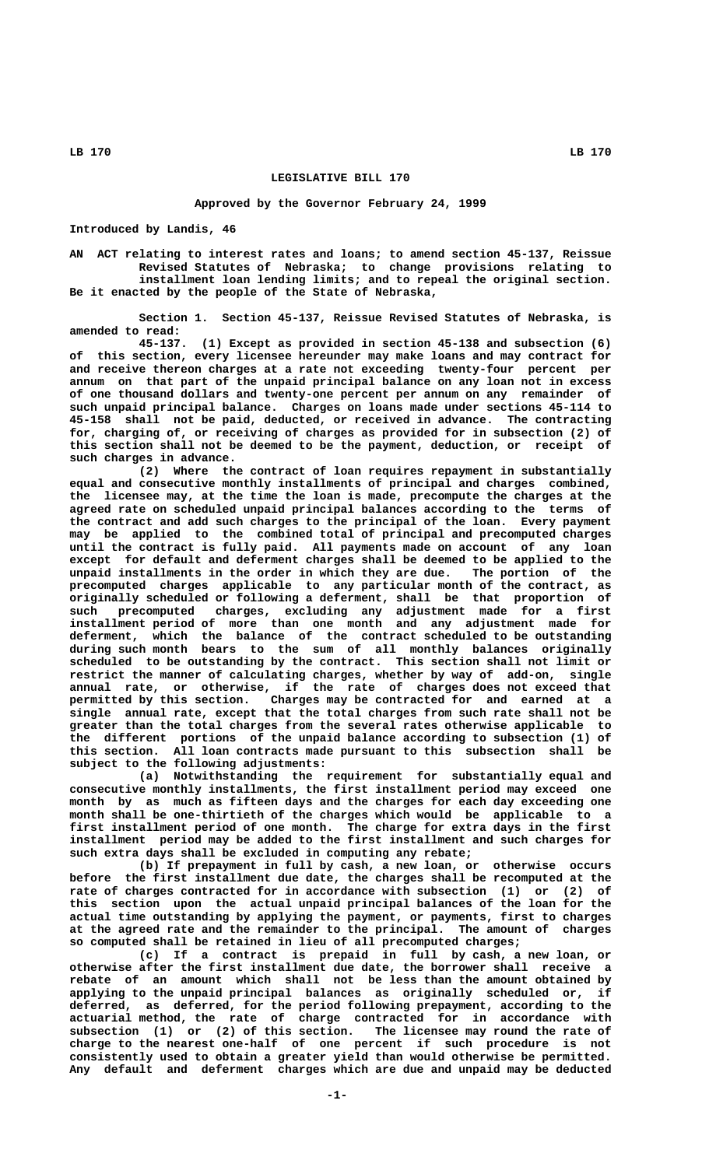### **LB 170 LB 170**

## **LEGISLATIVE BILL 170**

#### **Approved by the Governor February 24, 1999**

**Introduced by Landis, 46**

**AN ACT relating to interest rates and loans; to amend section 45-137, Reissue Revised Statutes of Nebraska; to change provisions relating to installment loan lending limits; and to repeal the original section. Be it enacted by the people of the State of Nebraska,**

**Section 1. Section 45-137, Reissue Revised Statutes of Nebraska, is amended to read:**

**45-137. (1) Except as provided in section 45-138 and subsection (6) of this section, every licensee hereunder may make loans and may contract for and receive thereon charges at a rate not exceeding twenty-four percent per annum on that part of the unpaid principal balance on any loan not in excess of one thousand dollars and twenty-one percent per annum on any remainder of such unpaid principal balance. Charges on loans made under sections 45-114 to 45-158 shall not be paid, deducted, or received in advance. The contracting for, charging of, or receiving of charges as provided for in subsection (2) of this section shall not be deemed to be the payment, deduction, or receipt of such charges in advance.**

**(2) Where the contract of loan requires repayment in substantially equal and consecutive monthly installments of principal and charges combined, the licensee may, at the time the loan is made, precompute the charges at the agreed rate on scheduled unpaid principal balances according to the terms of the contract and add such charges to the principal of the loan. Every payment may be applied to the combined total of principal and precomputed charges until the contract is fully paid. All payments made on account of any loan except for default and deferment charges shall be deemed to be applied to the unpaid installments in the order in which they are due. The portion of the precomputed charges applicable to any particular month of the contract, as originally scheduled or following a deferment, shall be that proportion of such precomputed charges, excluding any adjustment made for a first installment period of more than one month and any adjustment made for deferment, which the balance of the contract scheduled to be outstanding during such month bears to the sum of all monthly balances originally scheduled to be outstanding by the contract. This section shall not limit or restrict the manner of calculating charges, whether by way of add-on, single annual rate, or otherwise, if the rate of charges does not exceed that permitted by this section. Charges may be contracted for and earned at a single annual rate, except that the total charges from such rate shall not be greater than the total charges from the several rates otherwise applicable to the different portions of the unpaid balance according to subsection (1) of this section. All loan contracts made pursuant to this subsection shall be subject to the following adjustments:**

**(a) Notwithstanding the requirement for substantially equal and consecutive monthly installments, the first installment period may exceed one month by as much as fifteen days and the charges for each day exceeding one month shall be one-thirtieth of the charges which would be applicable to a first installment period of one month. The charge for extra days in the first installment period may be added to the first installment and such charges for such extra days shall be excluded in computing any rebate;**

**(b) If prepayment in full by cash, a new loan, or otherwise occurs before the first installment due date, the charges shall be recomputed at the rate of charges contracted for in accordance with subsection (1) or (2) of this section upon the actual unpaid principal balances of the loan for the actual time outstanding by applying the payment, or payments, first to charges at the agreed rate and the remainder to the principal. The amount of charges so computed shall be retained in lieu of all precomputed charges;**

**(c) If a contract is prepaid in full by cash, a new loan, or otherwise after the first installment due date, the borrower shall receive a rebate of an amount which shall not be less than the amount obtained by applying to the unpaid principal balances as originally scheduled or, if deferred, as deferred, for the period following prepayment, according to the actuarial method, the rate of charge contracted for in accordance with subsection (1) or (2) of this section. The licensee may round the rate of charge to the nearest one-half of one percent if such procedure is not consistently used to obtain a greater yield than would otherwise be permitted. Any default and deferment charges which are due and unpaid may be deducted**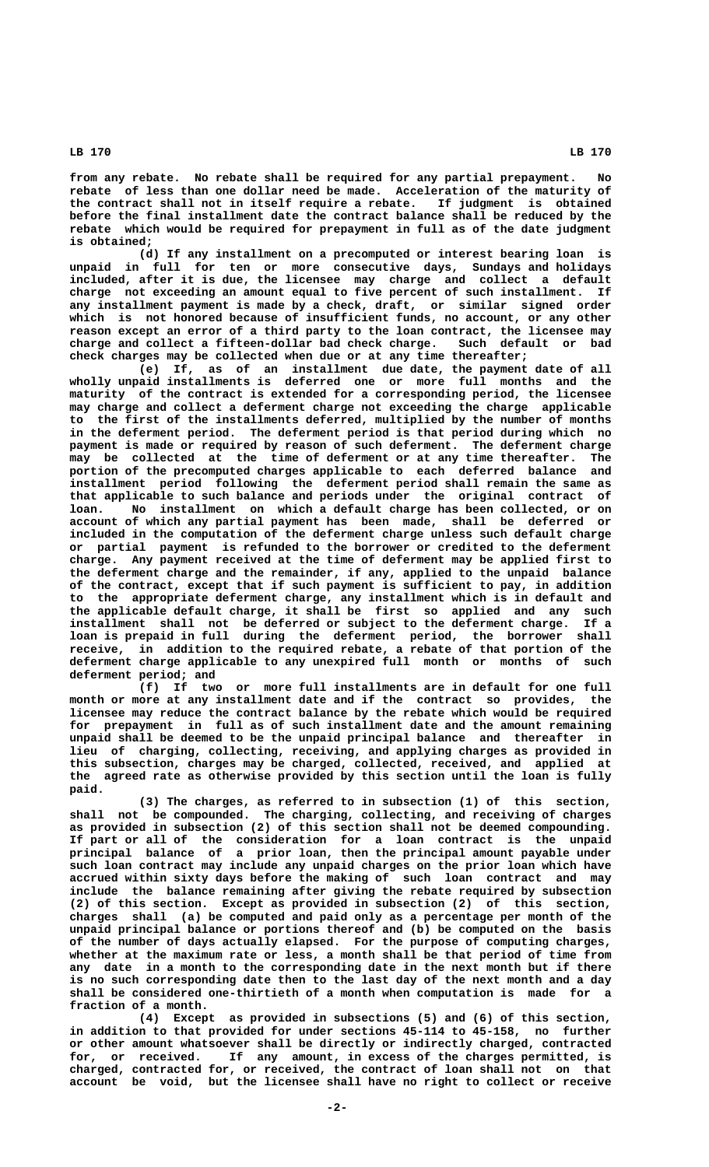**LB 170 LB 170**

**from any rebate. No rebate shall be required for any partial prepayment. No rebate of less than one dollar need be made. Acceleration of the maturity of the contract shall not in itself require a rebate. If judgment is obtained before the final installment date the contract balance shall be reduced by the rebate which would be required for prepayment in full as of the date judgment is obtained;**

**(d) If any installment on a precomputed or interest bearing loan is unpaid in full for ten or more consecutive days, Sundays and holidays included, after it is due, the licensee may charge and collect a default charge not exceeding an amount equal to five percent of such installment. If any installment payment is made by a check, draft, or similar signed order which is not honored because of insufficient funds, no account, or any other reason except an error of a third party to the loan contract, the licensee may charge and collect a fifteen-dollar bad check charge. Such default or bad check charges may be collected when due or at any time thereafter;**

**(e) If, as of an installment due date, the payment date of all wholly unpaid installments is deferred one or more full months and the maturity of the contract is extended for a corresponding period, the licensee may charge and collect a deferment charge not exceeding the charge applicable to the first of the installments deferred, multiplied by the number of months in the deferment period. The deferment period is that period during which no payment is made or required by reason of such deferment. The deferment charge may be collected at the time of deferment or at any time thereafter. The portion of the precomputed charges applicable to each deferred balance and installment period following the deferment period shall remain the same as that applicable to such balance and periods under the original contract of loan. No installment on which a default charge has been collected, or on account of which any partial payment has been made, shall be deferred or included in the computation of the deferment charge unless such default charge or partial payment is refunded to the borrower or credited to the deferment charge. Any payment received at the time of deferment may be applied first to the deferment charge and the remainder, if any, applied to the unpaid balance of the contract, except that if such payment is sufficient to pay, in addition to the appropriate deferment charge, any installment which is in default and the applicable default charge, it shall be first so applied and any such installment shall not be deferred or subject to the deferment charge. If a loan is prepaid in full during the deferment period, the borrower shall receive, in addition to the required rebate, a rebate of that portion of the deferment charge applicable to any unexpired full month or months of such deferment period; and**

**(f) If two or more full installments are in default for one full month or more at any installment date and if the contract so provides, the licensee may reduce the contract balance by the rebate which would be required for prepayment in full as of such installment date and the amount remaining unpaid shall be deemed to be the unpaid principal balance and thereafter in lieu of charging, collecting, receiving, and applying charges as provided in this subsection, charges may be charged, collected, received, and applied at the agreed rate as otherwise provided by this section until the loan is fully paid.**

**(3) The charges, as referred to in subsection (1) of this section, shall not be compounded. The charging, collecting, and receiving of charges as provided in subsection (2) of this section shall not be deemed compounding. If part or all of the consideration for a loan contract is the unpaid principal balance of a prior loan, then the principal amount payable under such loan contract may include any unpaid charges on the prior loan which have accrued within sixty days before the making of such loan contract and may include the balance remaining after giving the rebate required by subsection (2) of this section. Except as provided in subsection (2) of this section, charges shall (a) be computed and paid only as a percentage per month of the unpaid principal balance or portions thereof and (b) be computed on the basis of the number of days actually elapsed. For the purpose of computing charges, whether at the maximum rate or less, a month shall be that period of time from any date in a month to the corresponding date in the next month but if there is no such corresponding date then to the last day of the next month and a day shall be considered one-thirtieth of a month when computation is made for a fraction of a month.**

**(4) Except as provided in subsections (5) and (6) of this section, in addition to that provided for under sections 45-114 to 45-158, no further or other amount whatsoever shall be directly or indirectly charged, contracted for, or received. If any amount, in excess of the charges permitted, is charged, contracted for, or received, the contract of loan shall not on that account be void, but the licensee shall have no right to collect or receive**